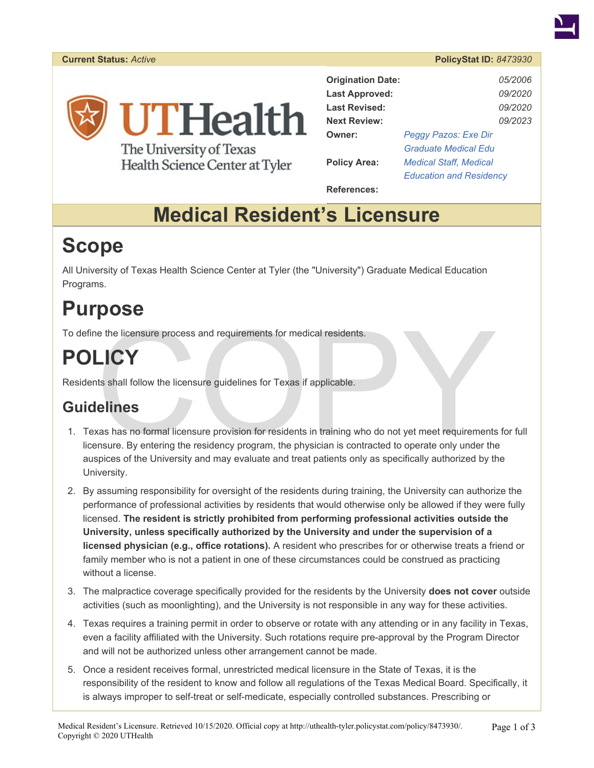#### **Current Status:** *Active* **PolicyStat ID:** *8473930*



The University of Texas Health Science Center at Tyler

| <b>Origination Date:</b> |                                | 05/2006        |
|--------------------------|--------------------------------|----------------|
| <b>Last Approved:</b>    |                                | <i>09/2020</i> |
| <b>Last Revised:</b>     |                                | 09/2020        |
| <b>Next Review:</b>      |                                | <i>09/2023</i> |
| Owner:                   | Peggy Pazos: Exe Dir           |                |
|                          | <b>Graduate Medical Edu</b>    |                |
| <b>Policy Area:</b>      | <b>Medical Staff, Medical</b>  |                |
|                          | <b>Education and Residency</b> |                |

**References:** 

# **Medical Resident's Licensure**

# **Scope**

All University of Texas Health Science Center at Tyler (the "University") Graduate Medical Education Programs.

# **Purpose**

To define the licensure process and requirements for medical residents.

# **POLICY**

Residents shall follow the licensure guidelines for Texas if applicable.

## **Guidelines**

- The the licensure process and requirements for medical residents.<br>
LICY<br>
Its shall follow the licensure guidelines for Texas if applicable.<br>
CINES<br>
The set of the lines of the lines of the lines of the lines of the lines o 1. Texas has no formal licensure provision for residents in training who do not yet meet requirements for full licensure. By entering the residency program, the physician is contracted to operate only under the auspices of the University and may evaluate and treat patients only as specifically authorized by the University.
- 2. By assuming responsibility for oversight of the residents during training, the University can authorize the performance of professional activities by residents that would otherwise only be allowed if they were fully licensed. **The resident is strictly prohibited from performing professional activities outside the University, unless specifically authorized by the University and under the supervision of a licensed physician (e.g., office rotations).** A resident who prescribes for or otherwise treats a friend or family member who is not a patient in one of these circumstances could be construed as practicing without a license.
- 3. The malpractice coverage specifically provided for the residents by the University **does not cover** outside activities (such as moonlighting), and the University is not responsible in any way for these activities.
- 4. Texas requires a training permit in order to observe or rotate with any attending or in any facility in Texas, even a facility affiliated with the University. Such rotations require pre-approval by the Program Director and will not be authorized unless other arrangement cannot be made.
- 5. Once a resident receives formal, unrestricted medical licensure in the State of Texas, it is the responsibility of the resident to know and follow all regulations of the Texas Medical Board. Specifically, it is always improper to self-treat or self-medicate, especially controlled substances. Prescribing or

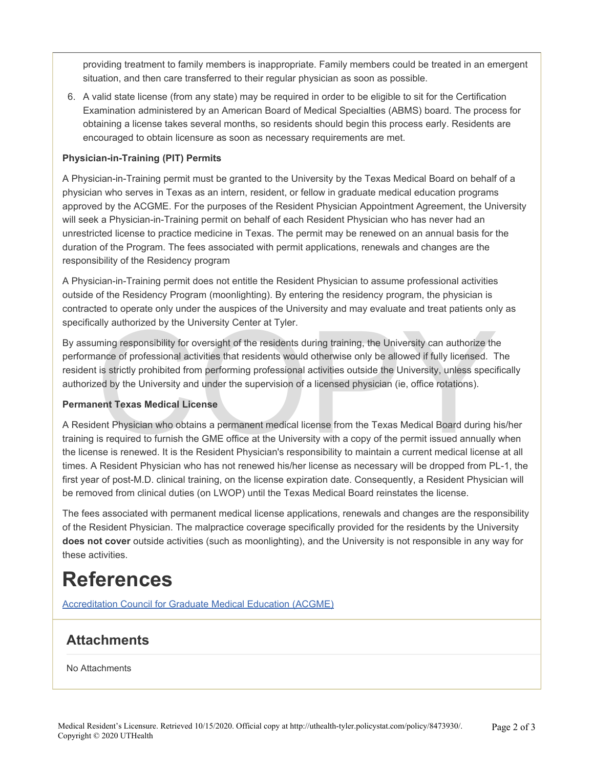providing treatment to family members is inappropriate. Family members could be treated in an emergent situation, and then care transferred to their regular physician as soon as possible.

6. A valid state license (from any state) may be required in order to be eligible to sit for the Certification Examination administered by an American Board of Medical Specialties (ABMS) board. The process for obtaining a license takes several months, so residents should begin this process early. Residents are encouraged to obtain licensure as soon as necessary requirements are met.

#### **Physician-in-Training (PIT) Permits**

A Physician-in-Training permit must be granted to the University by the Texas Medical Board on behalf of a physician who serves in Texas as an intern, resident, or fellow in graduate medical education programs approved by the ACGME. For the purposes of the Resident Physician Appointment Agreement, the University will seek a Physician-in-Training permit on behalf of each Resident Physician who has never had an unrestricted license to practice medicine in Texas. The permit may be renewed on an annual basis for the duration of the Program. The fees associated with permit applications, renewals and changes are the responsibility of the Residency program

A Physician-in-Training permit does not entitle the Resident Physician to assume professional activities outside of the Residency Program (moonlighting). By entering the residency program, the physician is contracted to operate only under the auspices of the University and may evaluate and treat patients only as specifically authorized by the University Center at Tyler.

ally authorized by the University Center at Tyler.<br>
ming responsibility for oversight of the residents during training, the University can authorize the<br>
ance of professional activities that residents would otherwise only By assuming responsibility for oversight of the residents during training, the University can authorize the performance of professional activities that residents would otherwise only be allowed if fully licensed. The resident is strictly prohibited from performing professional activities outside the University, unless specifically authorized by the University and under the supervision of a licensed physician (ie, office rotations).

#### **Permanent Texas Medical License**

A Resident Physician who obtains a permanent medical license from the Texas Medical Board during his/her training is required to furnish the GME office at the University with a copy of the permit issued annually when the license is renewed. It is the Resident Physician's responsibility to maintain a current medical license at all times. A Resident Physician who has not renewed his/her license as necessary will be dropped from PL-1, the first year of post-M.D. clinical training, on the license expiration date. Consequently, a Resident Physician will be removed from clinical duties (on LWOP) until the Texas Medical Board reinstates the license.

The fees associated with permanent medical license applications, renewals and changes are the responsibility of the Resident Physician. The malpractice coverage specifically provided for the residents by the University **does not cover** outside activities (such as moonlighting), and the University is not responsible in any way for these activities.

## **References**

[Accreditation Council for Graduate Medical Education \(ACGME\)](http://www.acgme.org/acWebsite/home/home.asp)

### **Attachments**

No Attachments